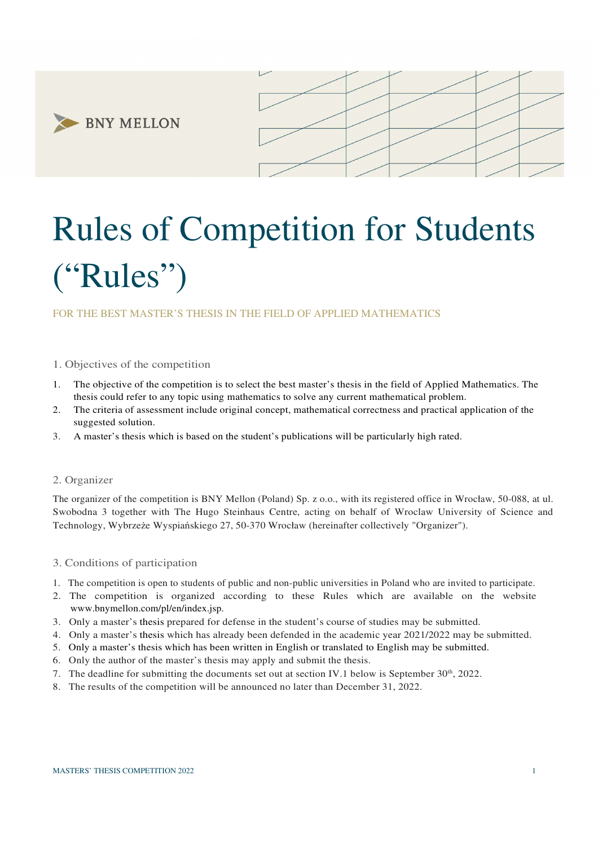**BNY MELLON** 



# Rules of Competition for Students ("Rules")

## FOR THE BEST MASTER'S THESIS IN THE FIELD OF APPLIED MATHEMATICS

## 1. Objectives of the competition

- 1. The objective of the competition is to select the best master's thesis in the field of Applied Mathematics. The thesis could refer to any topic using mathematics to solve any current mathematical problem.
- 2. The criteria of assessment include original concept, mathematical correctness and practical application of the suggested solution.
- 3. A master's thesis which is based on the student's publications will be particularly high rated.

## 2. Organizer

The organizer of the competition is BNY Mellon (Poland) Sp. z o.o., with its registered office in Wrocław, 50-088, at ul. Swobodna 3 together with The Hugo Steinhaus Centre, acting on behalf of Wroclaw University of Science and Technology, Wybrzeże Wyspiańskiego 27, 50-370 Wrocław (hereinafter collectively "Organizer").

## 3. Conditions of participation

- 1. The competition is open to students of public and non-public universities in Poland who are invited to participate.
- 2. The competition is organized according to these Rules which are available on the website www.bnymellon.com/pl/en/index.jsp.
- 3. Only a master's thesis prepared for defense in the student's course of studies may be submitted.
- 4. Only a master's thesis which has already been defended in the academic year 2021/2022 may be submitted.
- 5. Only a master's thesis which has been written in English or translated to English may be submitted.
- 6. Only the author of the master's thesis may apply and submit the thesis.
- 7. The deadline for submitting the documents set out at section IV.1 below is September  $30<sup>th</sup>$ , 2022.
- 8. The results of the competition will be announced no later than December 31, 2022.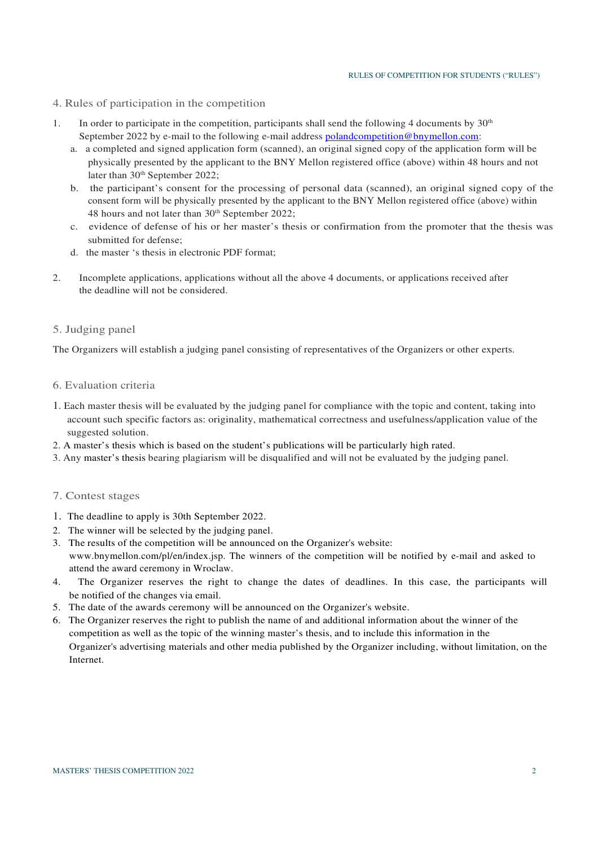- 4. Rules of participation in the competition
- 1. In order to participate in the competition, participants shall send the following 4 documents by  $30<sup>th</sup>$ September 2022 by e-mail to the following e-mail address polandcompetition@bnymellon.com:
	- a. a completed and signed application form (scanned), an original signed copy of the application form will be physically presented by the applicant to the BNY Mellon registered office (above) within 48 hours and not later than 30<sup>th</sup> September 2022;
	- b. the participant's consent for the processing of personal data (scanned), an original signed copy of the consent form will be physically presented by the applicant to the BNY Mellon registered office (above) within 48 hours and not later than 30<sup>th</sup> September 2022;
	- c. evidence of defense of his or her master's thesis or confirmation from the promoter that the thesis was submitted for defense;
	- d. the master 's thesis in electronic PDF format;
- 2. Incomplete applications, applications without all the above 4 documents, or applications received after the deadline will not be considered.

## 5. Judging panel

The Organizers will establish a judging panel consisting of representatives of the Organizers or other experts.

### 6. Evaluation criteria

- 1. Each master thesis will be evaluated by the judging panel for compliance with the topic and content, taking into account such specific factors as: originality, mathematical correctness and usefulness/application value of the suggested solution.
- 2. A master's thesis which is based on the student's publications will be particularly high rated.
- 3. Any master's thesis bearing plagiarism will be disqualified and will not be evaluated by the judging panel.

## 7. Contest stages

- 1. The deadline to apply is 30th September 2022.
- 2. The winner will be selected by the judging panel.
- 3. The results of the competition will be announced on the Organizer's website: www.bnymellon.com/pl/en/index.jsp. The winners of the competition will be notified by e-mail and asked to attend the award ceremony in Wroclaw.
- 4. The Organizer reserves the right to change the dates of deadlines. In this case, the participants will be notified of the changes via email.
- 5. The date of the awards ceremony will be announced on the Organizer's website.
- 6. The Organizer reserves the right to publish the name of and additional information about the winner of the competition as well as the topic of the winning master's thesis, and to include this information in the Organizer's advertising materials and other media published by the Organizer including, without limitation, on the Internet.